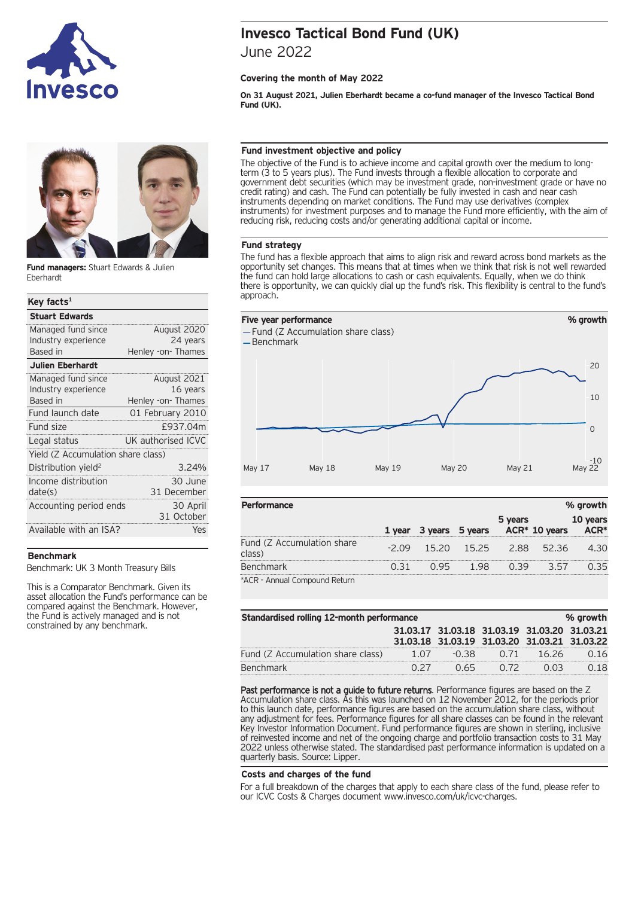



**Fund managers:** Stuart Edwards & Julien Eberhardt

# **Key facts1**

| <b>Stuart Edwards</b>              |                    |  |  |  |
|------------------------------------|--------------------|--|--|--|
| Managed fund since                 | August 2020        |  |  |  |
| Industry experience                | 24 years           |  |  |  |
| Based in                           | Henley -on- Thames |  |  |  |
| <b>Julien Eberhardt</b>            |                    |  |  |  |
| Managed fund since                 | August 2021        |  |  |  |
| Industry experience                | 16 years           |  |  |  |
| Based in                           | Henley -on- Thames |  |  |  |
| Fund launch date                   | 01 February 2010   |  |  |  |
| Fund size                          | £937.04m           |  |  |  |
| Legal status                       | UK authorised ICVC |  |  |  |
| Yield (Z Accumulation share class) |                    |  |  |  |
| Distribution yield <sup>2</sup>    | 3.24%              |  |  |  |
| Income distribution                | 30 June            |  |  |  |
| date(s)                            | 31 December        |  |  |  |
| Accounting period ends             | 30 April           |  |  |  |
|                                    | 31 October         |  |  |  |
| Available with an ISA?             | Yes                |  |  |  |
|                                    |                    |  |  |  |

## **Benchmark**

Benchmark: UK 3 Month Treasury Bills

This is a Comparator Benchmark. Given its asset allocation the Fund's performance can be compared against the Benchmark. However, the Fund is actively managed and is not constrained by any benchmark.

# **Invesco Tactical Bond Fund (UK)**

June 2022

## **Covering the month of May 2022**

**On 31 August 2021, Julien Eberhardt became a co-fund manager of the Invesco Tactical Bond Fund (UK).**

## **Fund investment objective and policy**

The objective of the Fund is to achieve income and capital growth over the medium to longterm (3 to 5 years plus). The Fund invests through a flexible allocation to corporate and government debt securities (which may be investment grade, non-investment grade or have no credit rating) and cash. The Fund can potentially be fully invested in cash and near cash instruments depending on market conditions. The Fund may use derivatives (complex instruments) for investment purposes and to manage the Fund more efficiently, with the aim of reducing risk, reducing costs and/or generating additional capital or income.

## **Fund strategy**

The fund has a flexible approach that aims to align risk and reward across bond markets as the opportunity set changes. This means that at times when we think that risk is not well rewarded the fund can hold large allocations to cash or cash equivalents. Equally, when we do think there is opportunity, we can quickly dial up the fund's risk. This flexibility is central to the fund's approach.



| <b>Performance</b>                   |        |         |         |         |                | % growth     |
|--------------------------------------|--------|---------|---------|---------|----------------|--------------|
|                                      | 1 vear | 3 years | 5 years | 5 years | $ACR*10 years$ | <b>years</b> |
| Fund (Z Accumulation share<br>class) | $-209$ | 15.20   | 15.25   | 2.88    | 5236           | 4 30         |
| <b>Benchmark</b>                     |        |         |         |         | २ ५७           | २५           |
| *ACR - Annual Compound Return        |        |         |         |         |                |              |

\*ACR - Annual Compound Return

| Standardised rolling 12-month performance<br>% growth |      |                                                                                              |      |       |      |
|-------------------------------------------------------|------|----------------------------------------------------------------------------------------------|------|-------|------|
|                                                       |      | 31.03.17 31.03.18 31.03.19 31.03.20 31.03.21<br>31.03.18 31.03.19 31.03.20 31.03.21 31.03.22 |      |       |      |
| Fund (Z Accumulation share class)                     | 1.07 | -0.38                                                                                        | 0.71 | 16.26 | 0.16 |
| <b>Benchmark</b>                                      |      | 0.65                                                                                         | 0.72 | 0 U.S | 0.18 |

Past performance is not a guide to future returns. Performance figures are based on the Z Accumulation share class. As this was launched on 12 November 2012, for the periods prior to this launch date, performance figures are based on the accumulation share class, without any adjustment for fees. Performance figures for all share classes can be found in the relevant Key Investor Information Document. Fund performance figures are shown in sterling, inclusive of reinvested income and net of the ongoing charge and portfolio transaction costs to 31 May 2022 unless otherwise stated. The standardised past performance information is updated on a quarterly basis. Source: Lipper.

## **Costs and charges of the fund**

For a full breakdown of the charges that apply to each share class of the fund, please refer to our ICVC Costs & Charges document www.invesco.com/uk/icvc-charges.